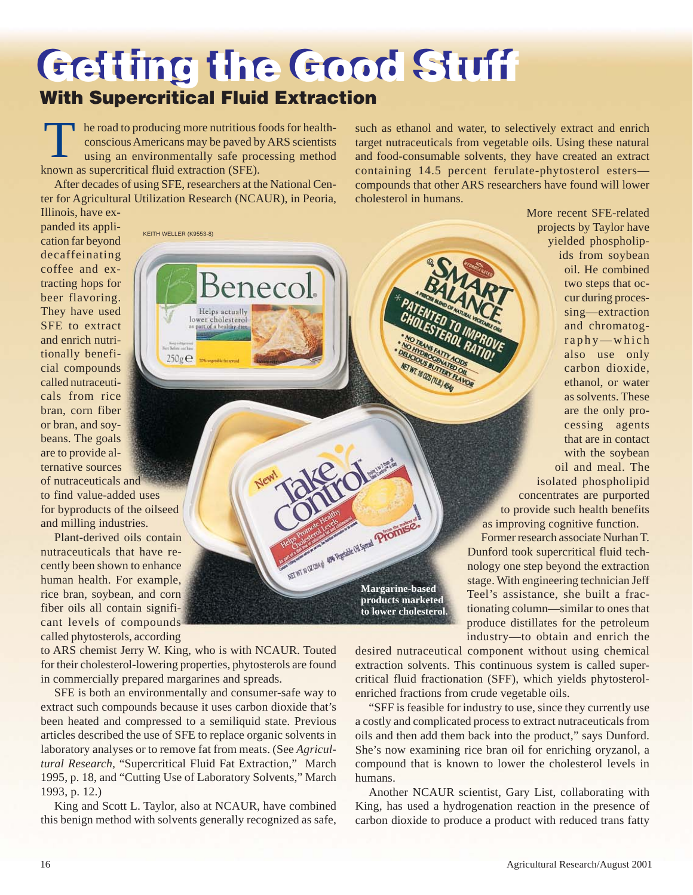## **Getting the Good Stuff Getting the Good Stuff With Supercritical Fluid Extraction**

Benecol

Helps actually lower cholesterol art of a healthy

T he road to producing more nutritious foods for healthconscious Americans may be paved by ARS scientists using an environmentally safe processing method known as supercritical fluid extraction (SFE).

After decades of using SFE, researchers at the National Center for Agricultural Utilization Research (NCAUR), in Peoria,

KEITH WELLER (K9553-8)

 $250g \oplus$ 

such as ethanol and water, to selectively extract and enrich target nutraceuticals from vegetable oils. Using these natural and food-consumable solvents, they have created an extract containing 14.5 percent ferulate-phytosterol esters compounds that other ARS researchers have found will lower cholesterol in humans.

Illinois, have expanded its application far beyond decaffeinating coffee and extracting hops for beer flavoring. They have used SFE to extract and enrich nutritionally beneficial compounds called nutraceuticals from rice bran, corn fiber or bran, and soybeans. The goals are to provide alternative sources

of nutraceuticals and to find value-added uses for byproducts of the oilseed and milling industries.

Plant-derived oils contain nutraceuticals that have recently been shown to enhance human health. For example, rice bran, soybean, and corn fiber oils all contain significant levels of compounds called phytosterols, according

to ARS chemist Jerry W. King, who is with NCAUR. Touted for their cholesterol-lowering properties, phytosterols are found in commercially prepared margarines and spreads.

SFE is both an environmentally and consumer-safe way to extract such compounds because it uses carbon dioxide that's been heated and compressed to a semiliquid state. Previous articles described the use of SFE to replace organic solvents in laboratory analyses or to remove fat from meats. (See *Agricultural Research,* "Supercritical Fluid Fat Extraction," March 1995, p. 18, and "Cutting Use of Laboratory Solvents," March 1993, p. 12.)

King and Scott L. Taylor, also at NCAUR, have combined this benign method with solvents generally recognized as safe,

More recent SFE-related projects by Taylor have yielded phospholipids from soybean oil. He combined two steps that occur during processing—extraction and chromatography—which also use only carbon dioxide, ethanol, or water as solvents. These are the only processing agents that are in contact with the soybean oil and meal. The isolated phospholipid concentrates are purported to provide such health benefits as improving cognitive function.

Former research associate Nurhan T. Dunford took supercritical fluid technology one step beyond the extraction stage. With engineering technician Jeff Teel's assistance, she built a fractionating column—similar to ones that produce distillates for the petroleum industry—to obtain and enrich the

desired nutraceutical component without using chemical extraction solvents. This continuous system is called supercritical fluid fractionation (SFF), which yields phytosterolenriched fractions from crude vegetable oils.

Margarine-based

**products marketed to lower cholesterol.**

WI 16 025 (11.8) 454

"SFF is feasible for industry to use, since they currently use a costly and complicated process to extract nutraceuticals from oils and then add them back into the product," says Dunford. She's now examining rice bran oil for enriching oryzanol, a compound that is known to lower the cholesterol levels in humans.

Another NCAUR scientist, Gary List, collaborating with King, has used a hydrogenation reaction in the presence of carbon dioxide to produce a product with reduced trans fatty